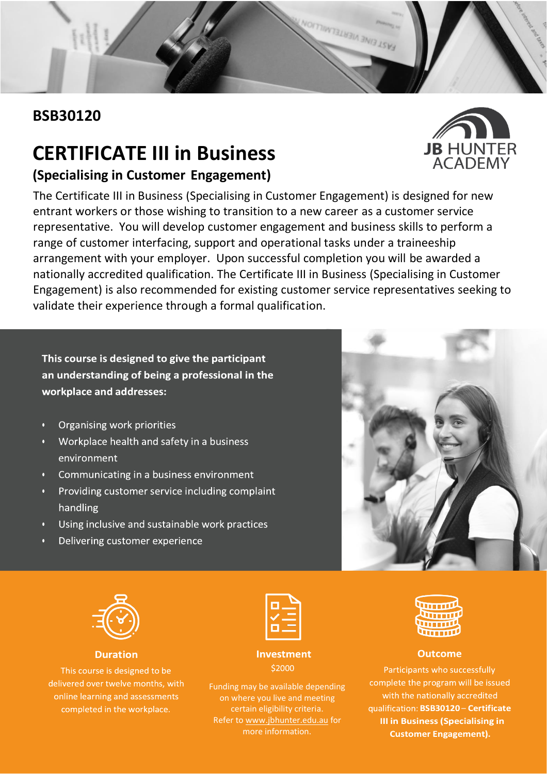## **BSB30120**

# **CERTIFICATE III in Business**

### **(Specialising in Customer Engagement)**

The Certificate III in Business (Specialising in Customer Engagement) is designed for new entrant workers or those wishing to transition to a new career as a customer service representative. You will develop customer engagement and business skills to perform a range of customer interfacing, support and operational tasks under a traineeship arrangement with your employer. Upon successful completion you will be awarded a nationally accredited qualification. The Certificate III in Business (Specialising in Customer Engagement) is also recommended for existing customer service representatives seeking to validate their experience through a formal qualification.

ANTENE NEWSTERWI

**This course is designed to give the participant an understanding of being a professional in the workplace and addresses:**

- Organising work priorities
- Workplace health and safety in a business environment
- Communicating in a business environment
- Providing customer service including complaint  $\overline{0}$ handling
- Using inclusive and sustainable work practices
- Delivering customer experience



#### **Duration**

This course is designed to be delivered over twelve months, with online learning and assessments completed in the workplace.

| _                                                                                                              |
|----------------------------------------------------------------------------------------------------------------|
| and the state of the state of the state of the state of the state of the state of the state of the state of th |
|                                                                                                                |

#### **Investment** \$2000

Funding may be available depending on where you live and meeting certain eligibility criteria. Refer to [www.jbhunter.edu.au](http://www.jbhunter.edu.au/) for more information.





#### **Outcome**

Participants who successfully complete the program will be issued with the nationally accredited qualification: BSB30120 - Certificate **III in Business (Specialising in Customer Engagement).**